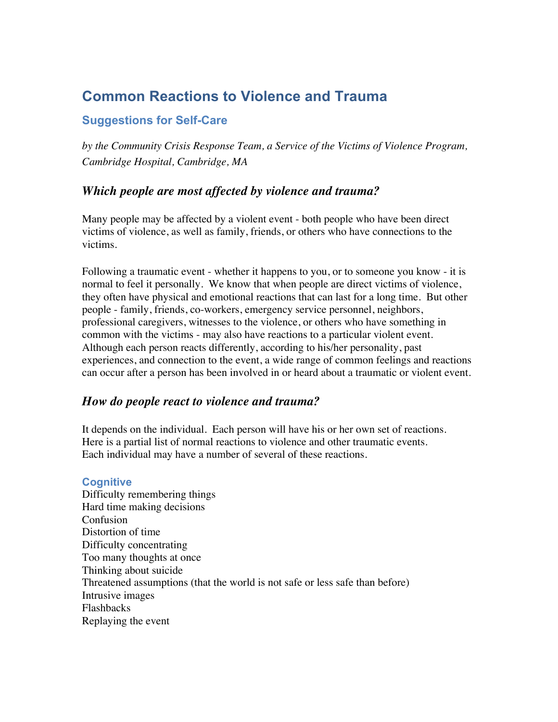# **Common Reactions to Violence and Trauma**

# **Suggestions for Self-Care**

*by the Community Crisis Response Team, a Service of the Victims of Violence Program, Cambridge Hospital, Cambridge, MA*

# *Which people are most affected by violence and trauma?*

Many people may be affected by a violent event - both people who have been direct victims of violence, as well as family, friends, or others who have connections to the victims.

Following a traumatic event - whether it happens to you, or to someone you know - it is normal to feel it personally. We know that when people are direct victims of violence, they often have physical and emotional reactions that can last for a long time. But other people - family, friends, co-workers, emergency service personnel, neighbors, professional caregivers, witnesses to the violence, or others who have something in common with the victims - may also have reactions to a particular violent event. Although each person reacts differently, according to his/her personality, past experiences, and connection to the event, a wide range of common feelings and reactions can occur after a person has been involved in or heard about a traumatic or violent event.

# *How do people react to violence and trauma?*

It depends on the individual. Each person will have his or her own set of reactions. Here is a partial list of normal reactions to violence and other traumatic events. Each individual may have a number of several of these reactions.

## **Cognitive**

Difficulty remembering things Hard time making decisions Confusion Distortion of time Difficulty concentrating Too many thoughts at once Thinking about suicide Threatened assumptions (that the world is not safe or less safe than before) Intrusive images Flashbacks Replaying the event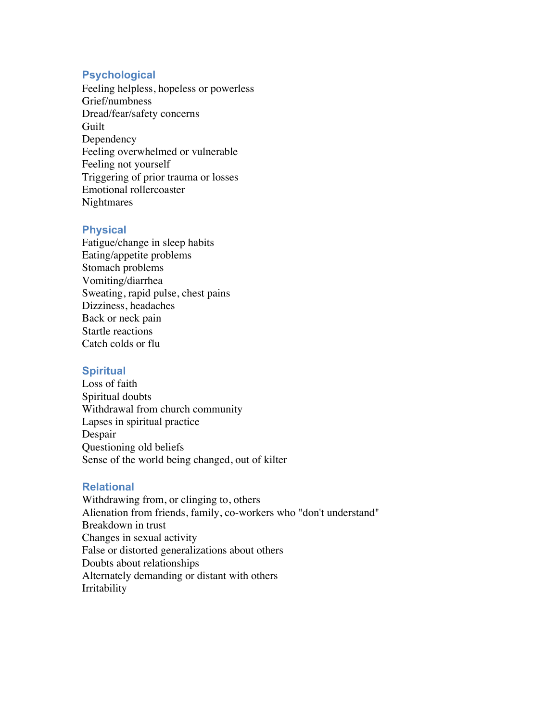### **Psychological**

Feeling helpless, hopeless or powerless Grief/numbness Dread/fear/safety concerns Guilt Dependency Feeling overwhelmed or vulnerable Feeling not yourself Triggering of prior trauma or losses Emotional rollercoaster **Nightmares** 

#### **Physical**

Fatigue/change in sleep habits Eating/appetite problems Stomach problems Vomiting/diarrhea Sweating, rapid pulse, chest pains Dizziness, headaches Back or neck pain Startle reactions Catch colds or flu

#### **Spiritual**

Loss of faith Spiritual doubts Withdrawal from church community Lapses in spiritual practice Despair Questioning old beliefs Sense of the world being changed, out of kilter

#### **Relational**

Withdrawing from, or clinging to, others Alienation from friends, family, co-workers who "don't understand" Breakdown in trust Changes in sexual activity False or distorted generalizations about others Doubts about relationships Alternately demanding or distant with others Irritability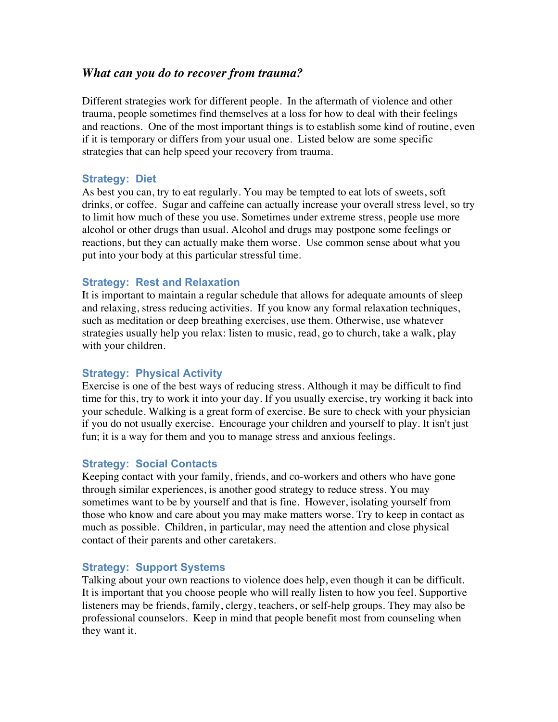## *What can you do to recover from trauma?*

Different strategies work for different people. In the aftermath of violence and other trauma, people sometimes find themselves at a loss for how to deal with their feelings and reactions. One of the most important things is to establish some kind of routine, even if it is temporary or differs from your usual one. Listed below are some specific strategies that can help speed your recovery from trauma.

#### **Strategy: Diet**

As best you can, try to eat regularly. You may be tempted to eat lots of sweets, soft drinks, or coffee. Sugar and caffeine can actually increase your overall stress level, so try to limit how much of these you use. Sometimes under extreme stress, people use more alcohol or other drugs than usual. Alcohol and drugs may postpone some feelings or reactions, but they can actually make them worse. Use common sense about what you put into your body at this particular stressful time.

#### **Strategy: Rest and Relaxation**

It is important to maintain a regular schedule that allows for adequate amounts of sleep and relaxing, stress reducing activities. If you know any formal relaxation techniques, such as meditation or deep breathing exercises, use them. Otherwise, use whatever strategies usually help you relax: listen to music, read, go to church, take a walk, play with your children.

## **Strategy: Physical Activity**

Exercise is one of the best ways of reducing stress. Although it may be difficult to find time for this, try to work it into your day. If you usually exercise, try working it back into your schedule. Walking is a great form of exercise. Be sure to check with your physician if you do not usually exercise. Encourage your children and yourself to play. It isn't just fun; it is a way for them and you to manage stress and anxious feelings.

#### **Strategy: Social Contacts**

Keeping contact with your family, friends, and co-workers and others who have gone through similar experiences, is another good strategy to reduce stress. You may sometimes want to be by yourself and that is fine. However, isolating yourself from those who know and care about you may make matters worse. Try to keep in contact as much as possible. Children, in particular, may need the attention and close physical contact of their parents and other caretakers.

## **Strategy: Support Systems**

Talking about your own reactions to violence does help, even though it can be difficult. It is important that you choose people who will really listen to how you feel. Supportive listeners may be friends, family, clergy, teachers, or self-help groups. They may also be professional counselors. Keep in mind that people benefit most from counseling when they want it.